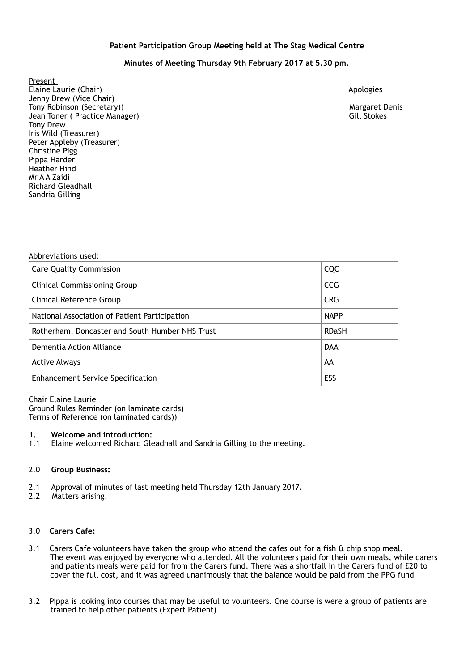# **Patient Participation Group Meeting held at The Stag Medical Centre**

# **Minutes of Meeting Thursday 9th February 2017 at 5.30 pm.**

Present Elaine Laurie (Chair) **Apologies** Apologies **Apologies** Apologies Apologies Apologies Apologies Apologies Apologies Jenny Drew (Vice Chair) Tony Robinson (Secretary)) Margaret Denis Jean Toner ( Practice Manager) Gill Stokes Tony Drew Iris Wild (Treasurer) Peter Appleby (Treasurer) Christine Pigg Pippa Harder Heather Hind Mr A A Zaidi Richard Gleadhall Sandria Gilling

#### Abbreviations used:

| <b>Care Quality Commission</b>                  | CQC          |
|-------------------------------------------------|--------------|
| <b>Clinical Commissioning Group</b>             | <b>CCG</b>   |
| Clinical Reference Group                        | <b>CRG</b>   |
| National Association of Patient Participation   | <b>NAPP</b>  |
| Rotherham, Doncaster and South Humber NHS Trust | <b>RDaSH</b> |
| Dementia Action Alliance                        | <b>DAA</b>   |
| <b>Active Always</b>                            | AA           |
| <b>Enhancement Service Specification</b>        | ESS          |

Chair Elaine Laurie Ground Rules Reminder (on laminate cards) Terms of Reference (on laminated cards))

#### **1. Welcome and introduction:**

1.1 Elaine welcomed Richard Gleadhall and Sandria Gilling to the meeting.

#### 2.0 **Group Business:**

- 2.1 Approval of minutes of last meeting held Thursday 12th January 2017.
- 2.2 Matters arising.

# 3.0 **Carers Cafe:**

- 3.1 Carers Cafe volunteers have taken the group who attend the cafes out for a fish  $\&$  chip shop meal. The event was enjoyed by everyone who attended. All the volunteers paid for their own meals, while carers and patients meals were paid for from the Carers fund. There was a shortfall in the Carers fund of £20 to cover the full cost, and it was agreed unanimously that the balance would be paid from the PPG fund
- 3.2 Pippa is looking into courses that may be useful to volunteers. One course is were a group of patients are trained to help other patients (Expert Patient)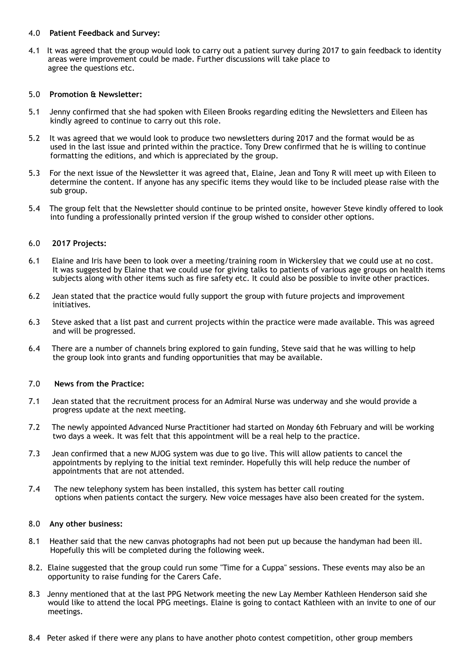### 4.0 **Patient Feedback and Survey:**

4.1 It was agreed that the group would look to carry out a patient survey during 2017 to gain feedback to identity areas were improvement could be made. Further discussions will take place to agree the questions etc.

# 5.0 **Promotion & Newsletter:**

- 5.1 Jenny confirmed that she had spoken with Eileen Brooks regarding editing the Newsletters and Eileen has kindly agreed to continue to carry out this role.
- 5.2 It was agreed that we would look to produce two newsletters during 2017 and the format would be as used in the last issue and printed within the practice. Tony Drew confirmed that he is willing to continue formatting the editions, and which is appreciated by the group.
- 5.3 For the next issue of the Newsletter it was agreed that, Elaine, Jean and Tony R will meet up with Eileen to determine the content. If anyone has any specific items they would like to be included please raise with the sub group.
- 5.4 The group felt that the Newsletter should continue to be printed onsite, however Steve kindly offered to look into funding a professionally printed version if the group wished to consider other options.

# 6.0 **2017 Projects:**

- 6.1 Elaine and Iris have been to look over a meeting/training room in Wickersley that we could use at no cost. It was suggested by Elaine that we could use for giving talks to patients of various age groups on health items subjects along with other items such as fire safety etc. It could also be possible to invite other practices.
- 6.2 Jean stated that the practice would fully support the group with future projects and improvement initiatives.
- 6.3 Steve asked that a list past and current projects within the practice were made available. This was agreed and will be progressed.
- 6.4 There are a number of channels bring explored to gain funding, Steve said that he was willing to help the group look into grants and funding opportunities that may be available.

# 7.0 **News from the Practice:**

- 7.1 Jean stated that the recruitment process for an Admiral Nurse was underway and she would provide a progress update at the next meeting.
- 7.2 The newly appointed Advanced Nurse Practitioner had started on Monday 6th February and will be working two days a week. It was felt that this appointment will be a real help to the practice.
- 7.3 Jean confirmed that a new MJOG system was due to go live. This will allow patients to cancel the appointments by replying to the initial text reminder. Hopefully this will help reduce the number of appointments that are not attended.
- 7.4 The new telephony system has been installed, this system has better call routing options when patients contact the surgery. New voice messages have also been created for the system.

# 8.0 **Any other business:**

- 8.1 Heather said that the new canvas photographs had not been put up because the handyman had been ill. Hopefully this will be completed during the following week.
- 8.2. Elaine suggested that the group could run some "Time for a Cuppa" sessions. These events may also be an opportunity to raise funding for the Carers Cafe.
- 8.3 Jenny mentioned that at the last PPG Network meeting the new Lay Member Kathleen Henderson said she would like to attend the local PPG meetings. Elaine is going to contact Kathleen with an invite to one of our meetings.
- 8.4 Peter asked if there were any plans to have another photo contest competition, other group members